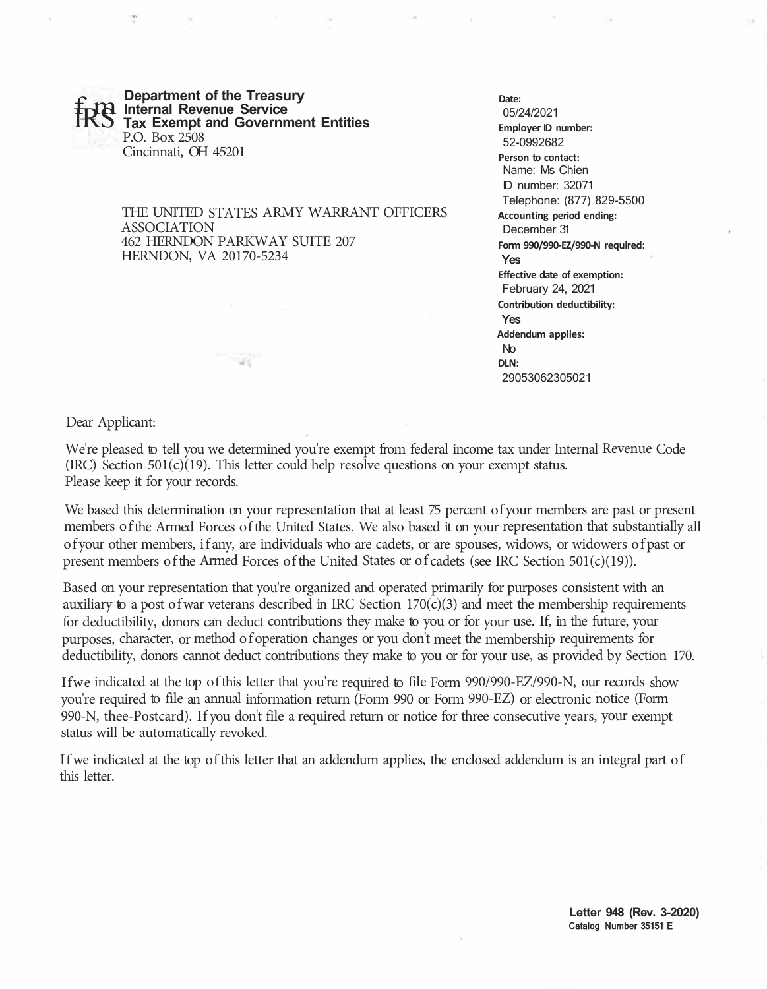**Department of the Treasury<br>IR Internal Revenue Service <br>IS Tax Exempt and Government Entities** P.O. Box 2508 Cincinnati, OH 45201

mar

THE UNITED STATES ARMY WARRANT OFFICERS ASSOCIATION 462 HERNDON PARKWAY SUITE 207 HERNDON, VA 20170-5234

## **Date:**

05/24/2021 **Employer ID number:**  52-0992682 **Person to contact:**  Name: Ms Chien ID number: 32071 Telephone: (877) 829-5500 **Accounting period ending:**  December 31 **Form 990/990-EZ/990-N required:**  Yes **Effective date of exemption:**  February 24, 2021 **Contribution deductibility:**  Yes **Addendum applies:**  No **DLN:**  29053062305021

Dear Applicant:

We're pleased to tell you we determined you're exempt from federal income tax under Internal Revenue Code (IRC) Section  $501(c)(19)$ . This letter could help resolve questions on your exempt status. Please keep it for your records.

We based this determination on your representation that at least 75 percent of your members are past or present members of the Armed Forces of the United States. We also based it on your representation that substantially all of your other members, if any, are individuals who are cadets, or are spouses, widows, or widowers of past or present members of the Armed Forces of the United States or of cadets (see IRC Section 501(c)(19)).

Based on your representation that you're organized and operated primarily for purposes consistent with an auxiliary to a post of war veterans described in IRC Section  $170(c)(3)$  and meet the membership requirements for deductibility, donors can deduct contributions they make to you or for your use. If, in the future, your purposes, character, or method of operation changes or you don't meet the membership requirements for deductibility, donors cannot deduct contributions they make to you or for your use, as provided by Section 170.

Ifwe indicated at the top of this letter that you're required to file Form 990/990-EZ/990-N, our records show you're required to file an annual information return (Form 990 or Form 990-EZ) or electronic notice (Form 990-N, thee-Postcard). If you don't file a required return or notice for three consecutive years, your exempt status will be automatically revoked.

If we indicated at the top of this letter that an addendum applies, the enclosed addendum is an integral part of this letter.

> **Letter 948 (Rev. 3-2020)**  Catalog Number 35151 E